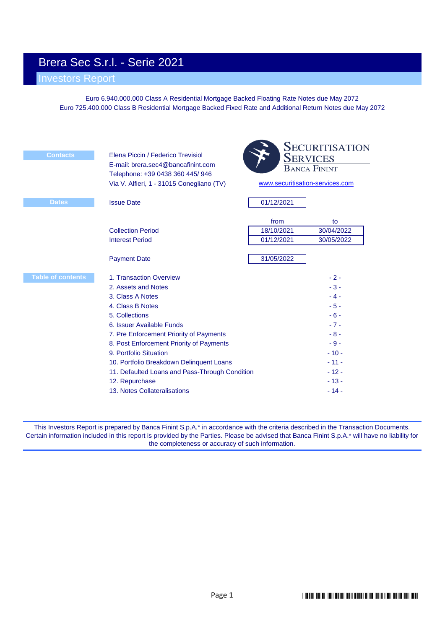# Brera Sec S.r.l. - Serie 2021

# Investors Report

Euro 6.940.000.000 Class A Residential Mortgage Backed Floating Rate Notes due May 2072 Euro 725.400.000 Class B Residential Mortgage Backed Fixed Rate and Additional Return Notes due May 2072

| <b>Contacts</b>          | Elena Piccin / Federico Trevisiol<br>E-mail: brera.sec4@bancafinint.com<br>Telephone: +39 0438 360 445/ 946<br>Via V. Alfieri, 1 - 31015 Conegliano (TV)                                                                                                                                                                                                                                               | <b>SECURITISATION</b><br><b>SERVICES</b><br><b>BANCA FININT</b><br>www.securitisation-services.com |                                                                                                                        |  |  |  |
|--------------------------|--------------------------------------------------------------------------------------------------------------------------------------------------------------------------------------------------------------------------------------------------------------------------------------------------------------------------------------------------------------------------------------------------------|----------------------------------------------------------------------------------------------------|------------------------------------------------------------------------------------------------------------------------|--|--|--|
| <b>Dates</b>             | <b>Issue Date</b>                                                                                                                                                                                                                                                                                                                                                                                      | 01/12/2021                                                                                         |                                                                                                                        |  |  |  |
|                          | <b>Collection Period</b><br><b>Interest Period</b>                                                                                                                                                                                                                                                                                                                                                     | from<br>18/10/2021<br>01/12/2021                                                                   | to<br>30/04/2022<br>30/05/2022                                                                                         |  |  |  |
|                          | <b>Payment Date</b>                                                                                                                                                                                                                                                                                                                                                                                    | 31/05/2022                                                                                         |                                                                                                                        |  |  |  |
| <b>Table of contents</b> | 1. Transaction Overview<br>2. Assets and Notes<br>3. Class A Notes<br>4. Class B Notes<br>5. Collections<br>6. Issuer Available Funds<br>7. Pre Enforcement Priority of Payments<br>8. Post Enforcement Priority of Payments<br>9. Portfolio Situation<br>10. Portfolio Breakdown Delinquent Loans<br>11. Defaulted Loans and Pass-Through Condition<br>12. Repurchase<br>13. Notes Collateralisations |                                                                                                    | $-2-$<br>$-3-$<br>$-4-$<br>$-5-$<br>$-6-$<br>$-7-$<br>$-8-$<br>$-9-$<br>$-10-$<br>$-11-$<br>$-12-$<br>$-13-$<br>$-14-$ |  |  |  |

This Investors Report is prepared by Banca Finint S.p.A.\* in accordance with the criteria described in the Transaction Documents. Certain information included in this report is provided by the Parties. Please be advised that Banca Finint S.p.A.\* will have no liability for the completeness or accuracy of such information.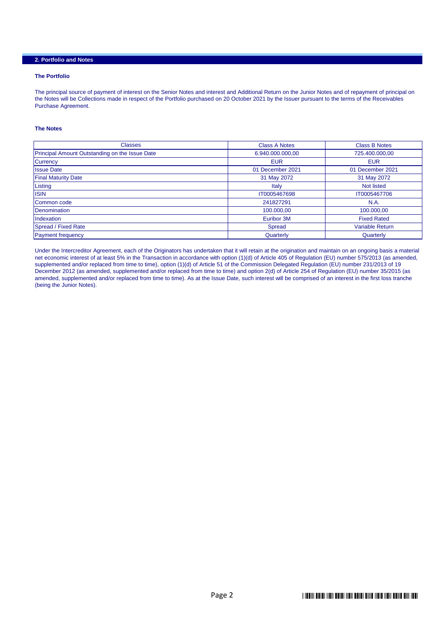# **2. Portfolio and Notes**

#### **The Portfolio**

The principal source of payment of interest on the Senior Notes and interest and Additional Return on the Junior Notes and of repayment of principal on the Notes will be Collections made in respect of the Portfolio purchased on 20 October 2021 by the Issuer pursuant to the terms of the Receivables Purchase Agreement.

#### **The Notes**

| <b>Classes</b>                                 | <b>Class A Notes</b> | <b>Class B Notes</b>   |
|------------------------------------------------|----------------------|------------------------|
| Principal Amount Outstanding on the Issue Date | 6.940.000.000,00     | 725.400.000,00         |
| <b>Currency</b>                                | <b>EUR</b>           | <b>EUR</b>             |
| <b>Issue Date</b>                              | 01 December 2021     | 01 December 2021       |
| <b>Final Maturity Date</b>                     | 31 May 2072          | 31 May 2072            |
| Listing                                        | Italy                | <b>Not listed</b>      |
| <b>ISIN</b>                                    | IT0005467698         | IT0005467706           |
| Common code                                    | 241827291            | <b>N.A.</b>            |
| Denomination                                   | 100.000.00           | 100.000,00             |
| Indexation                                     | Euribor 3M           | <b>Fixed Rated</b>     |
| Spread / Fixed Rate                            | Spread               | <b>Variable Return</b> |
| <b>Payment frequency</b>                       | Quarterly            | Quarterly              |

Under the Intercreditor Agreement, each of the Originators has undertaken that it will retain at the origination and maintain on an ongoing basis a material net economic interest of at least 5% in the Transaction in accordance with option (1)(d) of Article 405 of Regulation (EU) number 575/2013 (as amended, supplemented and/or replaced from time to time), option (1)(d) of Article 51 of the Commission Delegated Regulation (EU) number 231/2013 of 19 December 2012 (as amended, supplemented and/or replaced from time to time) and option 2(d) of Article 254 of Regulation (EU) number 35/2015 (as amended, supplemented and/or replaced from time to time). As at the Issue Date, such interest will be comprised of an interest in the first loss tranche (being the Junior Notes).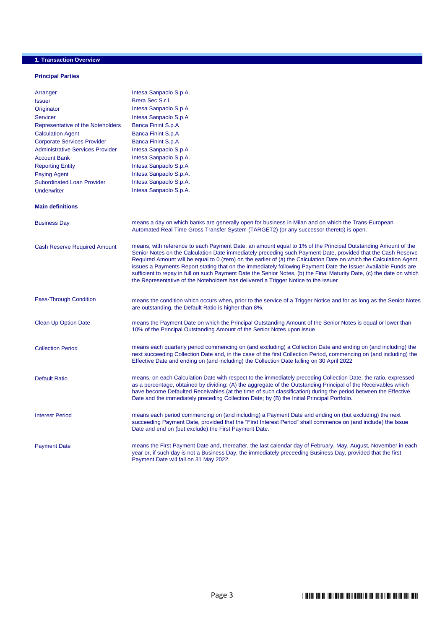# **1. Transaction Overview**

#### **Principal Parties**

| Arranger                                | Intesa Sanpaolo S.p.A.                                                                                                                                                                                                                                                                                                                                                                                                                                                                                                                                                                                                                                                               |
|-----------------------------------------|--------------------------------------------------------------------------------------------------------------------------------------------------------------------------------------------------------------------------------------------------------------------------------------------------------------------------------------------------------------------------------------------------------------------------------------------------------------------------------------------------------------------------------------------------------------------------------------------------------------------------------------------------------------------------------------|
| <b>Issuer</b>                           | Brera Sec S.r.l.                                                                                                                                                                                                                                                                                                                                                                                                                                                                                                                                                                                                                                                                     |
| Originator                              | Intesa Sanpaolo S.p.A                                                                                                                                                                                                                                                                                                                                                                                                                                                                                                                                                                                                                                                                |
| <b>Servicer</b>                         | Intesa Sanpaolo S.p.A                                                                                                                                                                                                                                                                                                                                                                                                                                                                                                                                                                                                                                                                |
| Representative of the Noteholders       | <b>Banca Finint S.p.A</b>                                                                                                                                                                                                                                                                                                                                                                                                                                                                                                                                                                                                                                                            |
| <b>Calculation Agent</b>                | <b>Banca Finint S.p.A</b>                                                                                                                                                                                                                                                                                                                                                                                                                                                                                                                                                                                                                                                            |
| <b>Corporate Services Provider</b>      | <b>Banca Finint S.p.A</b>                                                                                                                                                                                                                                                                                                                                                                                                                                                                                                                                                                                                                                                            |
| <b>Administrative Services Provider</b> | Intesa Sanpaolo S.p.A                                                                                                                                                                                                                                                                                                                                                                                                                                                                                                                                                                                                                                                                |
| <b>Account Bank</b>                     | Intesa Sanpaolo S.p.A.                                                                                                                                                                                                                                                                                                                                                                                                                                                                                                                                                                                                                                                               |
| <b>Reporting Entity</b>                 | Intesa Sanpaolo S.p.A                                                                                                                                                                                                                                                                                                                                                                                                                                                                                                                                                                                                                                                                |
| <b>Paying Agent</b>                     | Intesa Sanpaolo S.p.A.                                                                                                                                                                                                                                                                                                                                                                                                                                                                                                                                                                                                                                                               |
| <b>Subordinated Loan Provider</b>       | Intesa Sanpaolo S.p.A.                                                                                                                                                                                                                                                                                                                                                                                                                                                                                                                                                                                                                                                               |
| <b>Underwriter</b>                      | Intesa Sanpaolo S.p.A.                                                                                                                                                                                                                                                                                                                                                                                                                                                                                                                                                                                                                                                               |
|                                         |                                                                                                                                                                                                                                                                                                                                                                                                                                                                                                                                                                                                                                                                                      |
| <b>Main definitions</b>                 |                                                                                                                                                                                                                                                                                                                                                                                                                                                                                                                                                                                                                                                                                      |
| <b>Business Day</b>                     | means a day on which banks are generally open for business in Milan and on which the Trans-European<br>Automated Real Time Gross Transfer System (TARGET2) (or any successor thereto) is open.                                                                                                                                                                                                                                                                                                                                                                                                                                                                                       |
| <b>Cash Reserve Required Amount</b>     | means, with reference to each Payment Date, an amount equal to 1% of the Principal Outstanding Amount of the<br>Senior Notes on the Calculation Date immediately preceding such Payment Date, provided that the Cash Reserve<br>Required Amount will be equal to 0 (zero) on the earlier of (a) the Calculation Date on which the Calculation Agent<br>issues a Payments Report stating that on the immediately following Payment Date the Issuer Available Funds are<br>sufficient to repay in full on such Payment Date the Senior Notes, (b) the Final Maturity Date, (c) the date on which<br>the Representative of the Noteholders has delivered a Trigger Notice to the Issuer |
| Pass-Through Condition                  | means the condition which occurs when, prior to the service of a Trigger Notice and for as long as the Senior Notes<br>are outstanding, the Default Ratio is higher than 8%.                                                                                                                                                                                                                                                                                                                                                                                                                                                                                                         |
| <b>Clean Up Option Date</b>             | means the Payment Date on which the Principal Outstanding Amount of the Senior Notes is equal or lower than<br>10% of the Principal Outstanding Amount of the Senior Notes upon issue                                                                                                                                                                                                                                                                                                                                                                                                                                                                                                |
| <b>Collection Period</b>                | means each quarterly period commencing on (and excluding) a Collection Date and ending on (and including) the<br>next succeeding Collection Date and, in the case of the first Collection Period, commencing on (and including) the<br>Effective Date and ending on (and including) the Collection Date falling on 30 April 2022                                                                                                                                                                                                                                                                                                                                                     |
| <b>Default Ratio</b>                    | means, on each Calculation Date with respect to the immediately preceding Collection Date, the ratio, expressed<br>as a percentage, obtained by dividing: (A) the aggregate of the Outstanding Principal of the Receivables which<br>have become Defaulted Receivables (at the time of such classification) during the period between the Effective<br>Date and the immediately preceding Collection Date; by (B) the Initial Principal Portfolio.                                                                                                                                                                                                                                   |
| <b>Interest Period</b>                  | means each period commencing on (and including) a Payment Date and ending on (but excluding) the next<br>succeeding Payment Date, provided that the "First Interest Period" shall commence on (and include) the Issue<br>Date and end on (but exclude) the First Payment Date.                                                                                                                                                                                                                                                                                                                                                                                                       |
| <b>Payment Date</b>                     | means the First Payment Date and, thereafter, the last calendar day of February, May, August, November in each<br>year or, if such day is not a Business Day, the immediately preceeding Business Day, provided that the first<br>Payment Date will fall on 31 May 2022.                                                                                                                                                                                                                                                                                                                                                                                                             |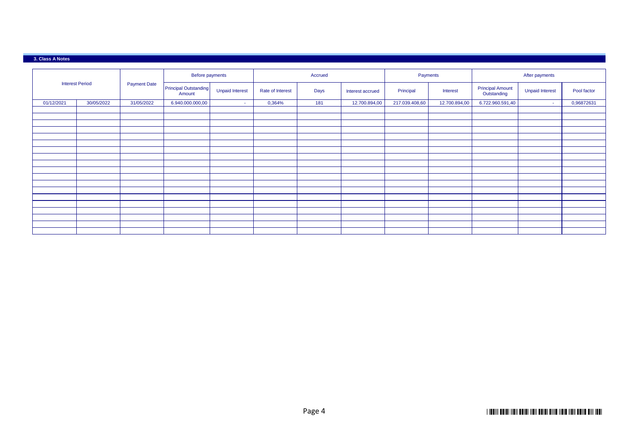#### **3. Class A Notes**

|            |                        |                     | Before payments                        |                        |                  | Accrued |                  | Payments       |               | After payments                         |                        |             |
|------------|------------------------|---------------------|----------------------------------------|------------------------|------------------|---------|------------------|----------------|---------------|----------------------------------------|------------------------|-------------|
|            | <b>Interest Period</b> | <b>Payment Date</b> | <b>Principal Outstanding</b><br>Amount | <b>Unpaid Interest</b> | Rate of Interest | Days    | Interest accrued | Principal      | Interest      | <b>Principal Amount</b><br>Outstanding | <b>Unpaid Interest</b> | Pool factor |
| 01/12/2021 | 30/05/2022             | 31/05/2022          | 6.940.000.000,00                       | <b>Section</b>         | 0,364%           | 181     | 12.700.894,00    | 217.039.408,60 | 12.700.894,00 | 6.722.960.591,40                       | $\sim$                 | 0,96872631  |
|            |                        |                     |                                        |                        |                  |         |                  |                |               |                                        |                        |             |
|            |                        |                     |                                        |                        |                  |         |                  |                |               |                                        |                        |             |
|            |                        |                     |                                        |                        |                  |         |                  |                |               |                                        |                        |             |
|            |                        |                     |                                        |                        |                  |         |                  |                |               |                                        |                        |             |
|            |                        |                     |                                        |                        |                  |         |                  |                |               |                                        |                        |             |
|            |                        |                     |                                        |                        |                  |         |                  |                |               |                                        |                        |             |
|            |                        |                     |                                        |                        |                  |         |                  |                |               |                                        |                        |             |
|            |                        |                     |                                        |                        |                  |         |                  |                |               |                                        |                        |             |
|            |                        |                     |                                        |                        |                  |         |                  |                |               |                                        |                        |             |
|            |                        |                     |                                        |                        |                  |         |                  |                |               |                                        |                        |             |
|            |                        |                     |                                        |                        |                  |         |                  |                |               |                                        |                        |             |
|            |                        |                     |                                        |                        |                  |         |                  |                |               |                                        |                        |             |
|            |                        |                     |                                        |                        |                  |         |                  |                |               |                                        |                        |             |
|            |                        |                     |                                        |                        |                  |         |                  |                |               |                                        |                        |             |
|            |                        |                     |                                        |                        |                  |         |                  |                |               |                                        |                        |             |
|            |                        |                     |                                        |                        |                  |         |                  |                |               |                                        |                        |             |
|            |                        |                     |                                        |                        |                  |         |                  |                |               |                                        |                        |             |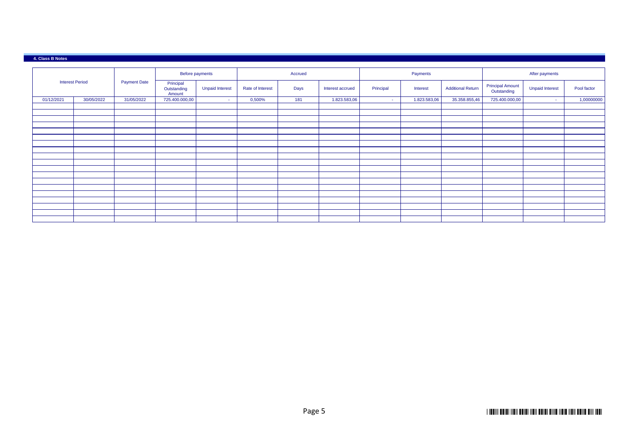#### **4. Class B Notes**

|            |                                                                                     |            |                        | Before payments  |        | Accrued          |              |          | Payments                 |                                        |                        | After payments |            |
|------------|-------------------------------------------------------------------------------------|------------|------------------------|------------------|--------|------------------|--------------|----------|--------------------------|----------------------------------------|------------------------|----------------|------------|
|            | <b>Interest Period</b><br><b>Payment Date</b><br>Principal<br>Outstanding<br>Amount |            | <b>Unpaid Interest</b> | Rate of Interest | Days   | Interest accrued | Principal    | Interest | <b>Additional Return</b> | <b>Principal Amount</b><br>Outstanding | <b>Unpaid Interest</b> | Pool factor    |            |
| 01/12/2021 | 30/05/2022                                                                          | 31/05/2022 | 725.400.000,00         | <b>Section</b>   | 0,500% | 181              | 1.823.583,06 | $\sim$   | 1.823.583,06             | 35.358.855,46                          | 725.400.000,00         | $\sim$         | 1,00000000 |
|            |                                                                                     |            |                        |                  |        |                  |              |          |                          |                                        |                        |                |            |
|            |                                                                                     |            |                        |                  |        |                  |              |          |                          |                                        |                        |                |            |
|            |                                                                                     |            |                        |                  |        |                  |              |          |                          |                                        |                        |                |            |
|            |                                                                                     |            |                        |                  |        |                  |              |          |                          |                                        |                        |                |            |
|            |                                                                                     |            |                        |                  |        |                  |              |          |                          |                                        |                        |                |            |
|            |                                                                                     |            |                        |                  |        |                  |              |          |                          |                                        |                        |                |            |
|            |                                                                                     |            |                        |                  |        |                  |              |          |                          |                                        |                        |                |            |
|            |                                                                                     |            |                        |                  |        |                  |              |          |                          |                                        |                        |                |            |
|            |                                                                                     |            |                        |                  |        |                  |              |          |                          |                                        |                        |                |            |
|            |                                                                                     |            |                        |                  |        |                  |              |          |                          |                                        |                        |                |            |
|            |                                                                                     |            |                        |                  |        |                  |              |          |                          |                                        |                        |                |            |
|            |                                                                                     |            |                        |                  |        |                  |              |          |                          |                                        |                        |                |            |
|            |                                                                                     |            |                        |                  |        |                  |              |          |                          |                                        |                        |                |            |
|            |                                                                                     |            |                        |                  |        |                  |              |          |                          |                                        |                        |                |            |
|            |                                                                                     |            |                        |                  |        |                  |              |          |                          |                                        |                        |                |            |
|            |                                                                                     |            |                        |                  |        |                  |              |          |                          |                                        |                        |                |            |
|            |                                                                                     |            |                        |                  |        |                  |              |          |                          |                                        |                        |                |            |
|            |                                                                                     |            |                        |                  |        |                  |              |          |                          |                                        |                        |                |            |
|            |                                                                                     |            |                        |                  |        |                  |              |          |                          |                                        |                        |                |            |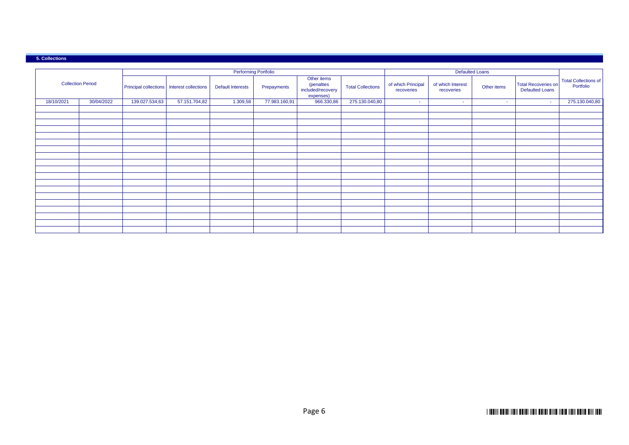#### **5. Collections**

|            |                          |                |                                              | <b>Performing Portfolio</b> |               |                                                                    |                          |                                  |                                 | <b>Defaulted Loans</b> |                                                      |                                          |
|------------|--------------------------|----------------|----------------------------------------------|-----------------------------|---------------|--------------------------------------------------------------------|--------------------------|----------------------------------|---------------------------------|------------------------|------------------------------------------------------|------------------------------------------|
|            | <b>Collection Period</b> |                | Principal collections   Interest collections | <b>Default Interests</b>    | Prepayments   | Other items<br><i>(penalties</i><br>included/recovery<br>expenses) | <b>Total Collections</b> | of which Principal<br>recoveries | of which Interest<br>recoveries | Other items            | <b>Total Recoveries on</b><br><b>Defaulted Loans</b> | <b>Total Collections of</b><br>Portfolio |
| 18/10/2021 | 30/04/2022               | 139.027.534,63 | 57.151.704,82                                | 1.309,58                    | 77.983.160,91 | 966.330,86                                                         | 275.130.040,80           | $\sim$                           | $\sim$                          | $\sim$                 |                                                      | 275.130.040,80                           |
|            |                          |                |                                              |                             |               |                                                                    |                          |                                  |                                 |                        |                                                      |                                          |
|            |                          |                |                                              |                             |               |                                                                    |                          |                                  |                                 |                        |                                                      |                                          |
|            |                          |                |                                              |                             |               |                                                                    |                          |                                  |                                 |                        |                                                      |                                          |
|            |                          |                |                                              |                             |               |                                                                    |                          |                                  |                                 |                        |                                                      |                                          |
|            |                          |                |                                              |                             |               |                                                                    |                          |                                  |                                 |                        |                                                      |                                          |
|            |                          |                |                                              |                             |               |                                                                    |                          |                                  |                                 |                        |                                                      |                                          |
|            |                          |                |                                              |                             |               |                                                                    |                          |                                  |                                 |                        |                                                      |                                          |
|            |                          |                |                                              |                             |               |                                                                    |                          |                                  |                                 |                        |                                                      |                                          |
|            |                          |                |                                              |                             |               |                                                                    |                          |                                  |                                 |                        |                                                      |                                          |
|            |                          |                |                                              |                             |               |                                                                    |                          |                                  |                                 |                        |                                                      |                                          |
|            |                          |                |                                              |                             |               |                                                                    |                          |                                  |                                 |                        |                                                      |                                          |
|            |                          |                |                                              |                             |               |                                                                    |                          |                                  |                                 |                        |                                                      |                                          |
|            |                          |                |                                              |                             |               |                                                                    |                          |                                  |                                 |                        |                                                      |                                          |
|            |                          |                |                                              |                             |               |                                                                    |                          |                                  |                                 |                        |                                                      |                                          |
|            |                          |                |                                              |                             |               |                                                                    |                          |                                  |                                 |                        |                                                      |                                          |
|            |                          |                |                                              |                             |               |                                                                    |                          |                                  |                                 |                        |                                                      |                                          |
|            |                          |                |                                              |                             |               |                                                                    |                          |                                  |                                 |                        |                                                      |                                          |
|            |                          |                |                                              |                             |               |                                                                    |                          |                                  |                                 |                        |                                                      |                                          |
|            |                          |                |                                              |                             |               |                                                                    |                          |                                  |                                 |                        |                                                      |                                          |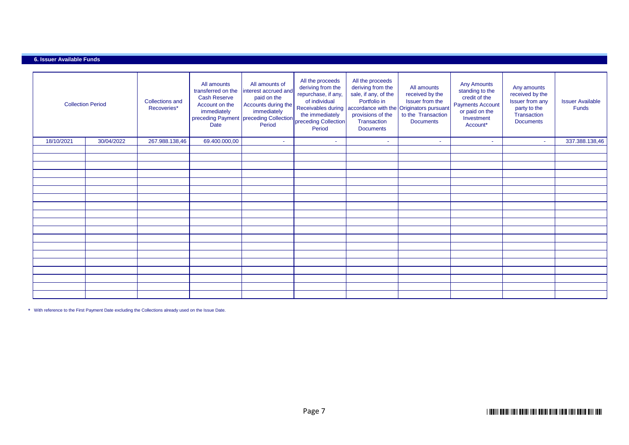### **6. Issuer Available Funds**

| <b>Collection Period</b> |            | <b>Collections and</b><br>Recoveries* | All amounts<br>transferred on the<br><b>Cash Reserve</b><br>Account on the<br>immediately<br>Date | All amounts of<br>interest accrued and<br>paid on the<br>Accounts during the<br>immediately<br>Period | All the proceeds<br>deriving from the<br>repurchase, if any,<br>of individual<br>Period | All the proceeds<br>deriving from the<br>sale, if any, of the<br>Portfolio in<br>Receivables during accordance with the Originators pursuant<br>provisions of the<br>Transaction<br><b>Documents</b> | All amounts<br>received by the<br>Issuer from the<br>to the Transaction<br><b>Documents</b> | <b>Any Amounts</b><br>standing to the<br>credit of the<br><b>Payments Account</b><br>or paid on the<br>Investment<br>Account* | Any amounts<br>received by the<br><b>Issuer from any</b><br>party to the<br>Transaction<br><b>Documents</b> | <b>Issuer Available</b><br><b>Funds</b> |
|--------------------------|------------|---------------------------------------|---------------------------------------------------------------------------------------------------|-------------------------------------------------------------------------------------------------------|-----------------------------------------------------------------------------------------|------------------------------------------------------------------------------------------------------------------------------------------------------------------------------------------------------|---------------------------------------------------------------------------------------------|-------------------------------------------------------------------------------------------------------------------------------|-------------------------------------------------------------------------------------------------------------|-----------------------------------------|
| 18/10/2021               | 30/04/2022 | 267.988.138,46                        | 69.400.000,00                                                                                     | ×.                                                                                                    | $\sim$                                                                                  | ÷.                                                                                                                                                                                                   | $\sim$                                                                                      | $\sim$                                                                                                                        | $\sim$                                                                                                      | 337.388.138,46                          |
|                          |            |                                       |                                                                                                   |                                                                                                       |                                                                                         |                                                                                                                                                                                                      |                                                                                             |                                                                                                                               |                                                                                                             |                                         |
|                          |            |                                       |                                                                                                   |                                                                                                       |                                                                                         |                                                                                                                                                                                                      |                                                                                             |                                                                                                                               |                                                                                                             |                                         |
|                          |            |                                       |                                                                                                   |                                                                                                       |                                                                                         |                                                                                                                                                                                                      |                                                                                             |                                                                                                                               |                                                                                                             |                                         |
|                          |            |                                       |                                                                                                   |                                                                                                       |                                                                                         |                                                                                                                                                                                                      |                                                                                             |                                                                                                                               |                                                                                                             |                                         |
|                          |            |                                       |                                                                                                   |                                                                                                       |                                                                                         |                                                                                                                                                                                                      |                                                                                             |                                                                                                                               |                                                                                                             |                                         |
|                          |            |                                       |                                                                                                   |                                                                                                       |                                                                                         |                                                                                                                                                                                                      |                                                                                             |                                                                                                                               |                                                                                                             |                                         |
|                          |            |                                       |                                                                                                   |                                                                                                       |                                                                                         |                                                                                                                                                                                                      |                                                                                             |                                                                                                                               |                                                                                                             |                                         |
|                          |            |                                       |                                                                                                   |                                                                                                       |                                                                                         |                                                                                                                                                                                                      |                                                                                             |                                                                                                                               |                                                                                                             |                                         |
|                          |            |                                       |                                                                                                   |                                                                                                       |                                                                                         |                                                                                                                                                                                                      |                                                                                             |                                                                                                                               |                                                                                                             |                                         |
|                          |            |                                       |                                                                                                   |                                                                                                       |                                                                                         |                                                                                                                                                                                                      |                                                                                             |                                                                                                                               |                                                                                                             |                                         |
|                          |            |                                       |                                                                                                   |                                                                                                       |                                                                                         |                                                                                                                                                                                                      |                                                                                             |                                                                                                                               |                                                                                                             |                                         |
|                          |            |                                       |                                                                                                   |                                                                                                       |                                                                                         |                                                                                                                                                                                                      |                                                                                             |                                                                                                                               |                                                                                                             |                                         |
|                          |            |                                       |                                                                                                   |                                                                                                       |                                                                                         |                                                                                                                                                                                                      |                                                                                             |                                                                                                                               |                                                                                                             |                                         |
|                          |            |                                       |                                                                                                   |                                                                                                       |                                                                                         |                                                                                                                                                                                                      |                                                                                             |                                                                                                                               |                                                                                                             |                                         |
|                          |            |                                       |                                                                                                   |                                                                                                       |                                                                                         |                                                                                                                                                                                                      |                                                                                             |                                                                                                                               |                                                                                                             |                                         |
|                          |            |                                       |                                                                                                   |                                                                                                       |                                                                                         |                                                                                                                                                                                                      |                                                                                             |                                                                                                                               |                                                                                                             |                                         |
|                          |            |                                       |                                                                                                   |                                                                                                       |                                                                                         |                                                                                                                                                                                                      |                                                                                             |                                                                                                                               |                                                                                                             |                                         |
|                          |            |                                       |                                                                                                   |                                                                                                       |                                                                                         |                                                                                                                                                                                                      |                                                                                             |                                                                                                                               |                                                                                                             |                                         |
|                          |            |                                       |                                                                                                   |                                                                                                       |                                                                                         |                                                                                                                                                                                                      |                                                                                             |                                                                                                                               |                                                                                                             |                                         |

\* With reference to the First Payment Date excluding the Collections already used on the Issue Date.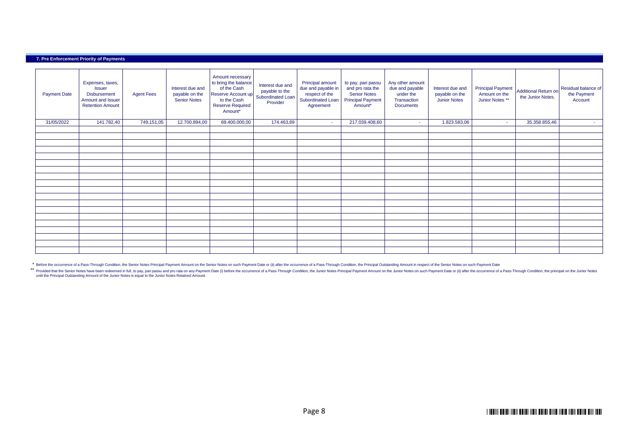#### **7. Pre Enforcement Priority of Payments**

| <b>Payment Date</b> | Expenses, taxes,<br><b>Issuer</b><br><b>Disbursement</b><br>Amount and Issuer<br><b>Retention Amount</b> | <b>Agent Fees</b> | Interest due and<br>payable on the<br><b>Senior Notes</b> | Amount necessary<br>to bring the balance<br>of the Cash<br>Reserve Account up<br>to the Cash<br><b>Reserve Required</b><br>Amount* | Interest due and<br>payable to the<br>Subordinated Loan<br>Provider | Principal amount<br>due and payable in<br>respect of the<br>Subordinated Loan<br>Agreement | to pay, pari passu<br>and pro rata the<br><b>Senior Notes</b><br><b>Principal Payment</b><br>Amount* | Any other amount<br>due and payable<br>under the<br>Transaction<br><b>Documents</b> | Interest due and<br>payable on the<br><b>Junior Notes</b> | <b>Principal Payment</b><br>Amount on the<br>Junior Notes ** | Additional Return on<br>the Junior Notes. | Residual balance of<br>the Payment<br>Account |
|---------------------|----------------------------------------------------------------------------------------------------------|-------------------|-----------------------------------------------------------|------------------------------------------------------------------------------------------------------------------------------------|---------------------------------------------------------------------|--------------------------------------------------------------------------------------------|------------------------------------------------------------------------------------------------------|-------------------------------------------------------------------------------------|-----------------------------------------------------------|--------------------------------------------------------------|-------------------------------------------|-----------------------------------------------|
| 31/05/2022          | 141.782,40                                                                                               | 749.151,05        | 12.700.894,00                                             | 69.400.000,00                                                                                                                      | 174.463,89                                                          | <b>Section</b>                                                                             | 217.039.408,60                                                                                       | $\sim$                                                                              | 1.823.583,06                                              | $\sim$                                                       | 35.358.855,46                             | <b>Contract</b>                               |
|                     |                                                                                                          |                   |                                                           |                                                                                                                                    |                                                                     |                                                                                            |                                                                                                      |                                                                                     |                                                           |                                                              |                                           |                                               |
|                     |                                                                                                          |                   |                                                           |                                                                                                                                    |                                                                     |                                                                                            |                                                                                                      |                                                                                     |                                                           |                                                              |                                           |                                               |
|                     |                                                                                                          |                   |                                                           |                                                                                                                                    |                                                                     |                                                                                            |                                                                                                      |                                                                                     |                                                           |                                                              |                                           |                                               |
|                     |                                                                                                          |                   |                                                           |                                                                                                                                    |                                                                     |                                                                                            |                                                                                                      |                                                                                     |                                                           |                                                              |                                           |                                               |
|                     |                                                                                                          |                   |                                                           |                                                                                                                                    |                                                                     |                                                                                            |                                                                                                      |                                                                                     |                                                           |                                                              |                                           |                                               |
|                     |                                                                                                          |                   |                                                           |                                                                                                                                    |                                                                     |                                                                                            |                                                                                                      |                                                                                     |                                                           |                                                              |                                           |                                               |
|                     |                                                                                                          |                   |                                                           |                                                                                                                                    |                                                                     |                                                                                            |                                                                                                      |                                                                                     |                                                           |                                                              |                                           |                                               |
|                     |                                                                                                          |                   |                                                           |                                                                                                                                    |                                                                     |                                                                                            |                                                                                                      |                                                                                     |                                                           |                                                              |                                           |                                               |
|                     |                                                                                                          |                   |                                                           |                                                                                                                                    |                                                                     |                                                                                            |                                                                                                      |                                                                                     |                                                           |                                                              |                                           |                                               |
|                     |                                                                                                          |                   |                                                           |                                                                                                                                    |                                                                     |                                                                                            |                                                                                                      |                                                                                     |                                                           |                                                              |                                           |                                               |
|                     |                                                                                                          |                   |                                                           |                                                                                                                                    |                                                                     |                                                                                            |                                                                                                      |                                                                                     |                                                           |                                                              |                                           |                                               |
|                     |                                                                                                          |                   |                                                           |                                                                                                                                    |                                                                     |                                                                                            |                                                                                                      |                                                                                     |                                                           |                                                              |                                           |                                               |
|                     |                                                                                                          |                   |                                                           |                                                                                                                                    |                                                                     |                                                                                            |                                                                                                      |                                                                                     |                                                           |                                                              |                                           |                                               |
|                     |                                                                                                          |                   |                                                           |                                                                                                                                    |                                                                     |                                                                                            |                                                                                                      |                                                                                     |                                                           |                                                              |                                           |                                               |
|                     |                                                                                                          |                   |                                                           |                                                                                                                                    |                                                                     |                                                                                            |                                                                                                      |                                                                                     |                                                           |                                                              |                                           |                                               |
|                     |                                                                                                          |                   |                                                           |                                                                                                                                    |                                                                     |                                                                                            |                                                                                                      |                                                                                     |                                                           |                                                              |                                           |                                               |
|                     |                                                                                                          |                   |                                                           |                                                                                                                                    |                                                                     |                                                                                            |                                                                                                      |                                                                                     |                                                           |                                                              |                                           |                                               |
|                     |                                                                                                          |                   |                                                           |                                                                                                                                    |                                                                     |                                                                                            |                                                                                                      |                                                                                     |                                                           |                                                              |                                           |                                               |

\* Before the occurrence of a Pass-Through Condition, the Senior Notes Principal Payment Amount on the Senior Notes on such Payment Date or (ii) after the occurrence of a Pass-Through Condition, the Principal Amount in resp

\*\* Provided that the Senior Notes have been redeemed in full, to pay, pari passu and pro rata on any Payment Date (i) before the occurrence of a Pass-Through Condition, the Junior Notes Principal Payment Amount on the Juni until the Principal Outstanding Amount of the Junior Notes is equal to the Junior Notes Retained Amount.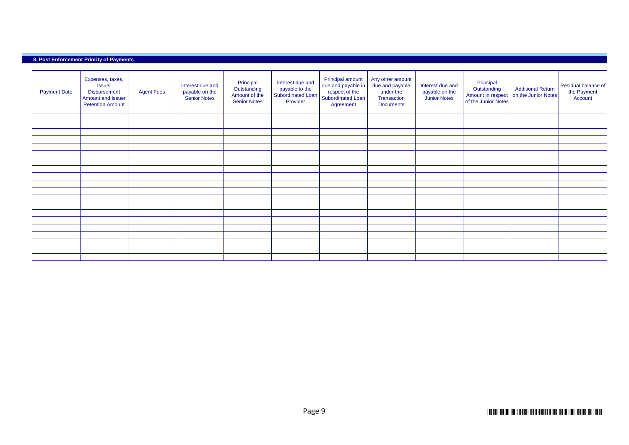### **8. Post Enforcement Priority of Payments**

| <b>Payment Date</b> | Expenses, taxes,<br><b>Issuer</b><br><b>Disbursement</b><br>Amount and Issuer<br><b>Retention Amount</b> | <b>Agent Fees</b> | Interest due and<br>payable on the<br><b>Senior Notes</b> | Principal<br>Outstanding<br>Amount of the<br><b>Senior Notes</b> | Interest due and<br>payable to the<br>Subordinated Loan<br>Provider | Principal amount<br>due and payable in<br>respect of the<br>Subordinated Loan<br>Agreement | Any other amount<br>due and payable<br>under the<br>Transaction<br><b>Documents</b> | Interest due and<br>payable on the<br><b>Junior Notes</b> | Principal<br>Outstanding<br>Amount in respect<br>of the Junior Notes | <b>Additional Return</b><br>on the Junior Notes | Residual balance of<br>the Payment<br>Account |
|---------------------|----------------------------------------------------------------------------------------------------------|-------------------|-----------------------------------------------------------|------------------------------------------------------------------|---------------------------------------------------------------------|--------------------------------------------------------------------------------------------|-------------------------------------------------------------------------------------|-----------------------------------------------------------|----------------------------------------------------------------------|-------------------------------------------------|-----------------------------------------------|
|                     |                                                                                                          |                   |                                                           |                                                                  |                                                                     |                                                                                            |                                                                                     |                                                           |                                                                      |                                                 |                                               |
|                     |                                                                                                          |                   |                                                           |                                                                  |                                                                     |                                                                                            |                                                                                     |                                                           |                                                                      |                                                 |                                               |
|                     |                                                                                                          |                   |                                                           |                                                                  |                                                                     |                                                                                            |                                                                                     |                                                           |                                                                      |                                                 |                                               |
|                     |                                                                                                          |                   |                                                           |                                                                  |                                                                     |                                                                                            |                                                                                     |                                                           |                                                                      |                                                 |                                               |
|                     |                                                                                                          |                   |                                                           |                                                                  |                                                                     |                                                                                            |                                                                                     |                                                           |                                                                      |                                                 |                                               |
|                     |                                                                                                          |                   |                                                           |                                                                  |                                                                     |                                                                                            |                                                                                     |                                                           |                                                                      |                                                 |                                               |
|                     |                                                                                                          |                   |                                                           |                                                                  |                                                                     |                                                                                            |                                                                                     |                                                           |                                                                      |                                                 |                                               |
|                     |                                                                                                          |                   |                                                           |                                                                  |                                                                     |                                                                                            |                                                                                     |                                                           |                                                                      |                                                 |                                               |
|                     |                                                                                                          |                   |                                                           |                                                                  |                                                                     |                                                                                            |                                                                                     |                                                           |                                                                      |                                                 |                                               |
|                     |                                                                                                          |                   |                                                           |                                                                  |                                                                     |                                                                                            |                                                                                     |                                                           |                                                                      |                                                 |                                               |
|                     |                                                                                                          |                   |                                                           |                                                                  |                                                                     |                                                                                            |                                                                                     |                                                           |                                                                      |                                                 |                                               |
|                     |                                                                                                          |                   |                                                           |                                                                  |                                                                     |                                                                                            |                                                                                     |                                                           |                                                                      |                                                 |                                               |
|                     |                                                                                                          |                   |                                                           |                                                                  |                                                                     |                                                                                            |                                                                                     |                                                           |                                                                      |                                                 |                                               |
|                     |                                                                                                          |                   |                                                           |                                                                  |                                                                     |                                                                                            |                                                                                     |                                                           |                                                                      |                                                 |                                               |
|                     |                                                                                                          |                   |                                                           |                                                                  |                                                                     |                                                                                            |                                                                                     |                                                           |                                                                      |                                                 |                                               |
|                     |                                                                                                          |                   |                                                           |                                                                  |                                                                     |                                                                                            |                                                                                     |                                                           |                                                                      |                                                 |                                               |
|                     |                                                                                                          |                   |                                                           |                                                                  |                                                                     |                                                                                            |                                                                                     |                                                           |                                                                      |                                                 |                                               |
|                     |                                                                                                          |                   |                                                           |                                                                  |                                                                     |                                                                                            |                                                                                     |                                                           |                                                                      |                                                 |                                               |
|                     |                                                                                                          |                   |                                                           |                                                                  |                                                                     |                                                                                            |                                                                                     |                                                           |                                                                      |                                                 |                                               |
|                     |                                                                                                          |                   |                                                           |                                                                  |                                                                     |                                                                                            |                                                                                     |                                                           |                                                                      |                                                 |                                               |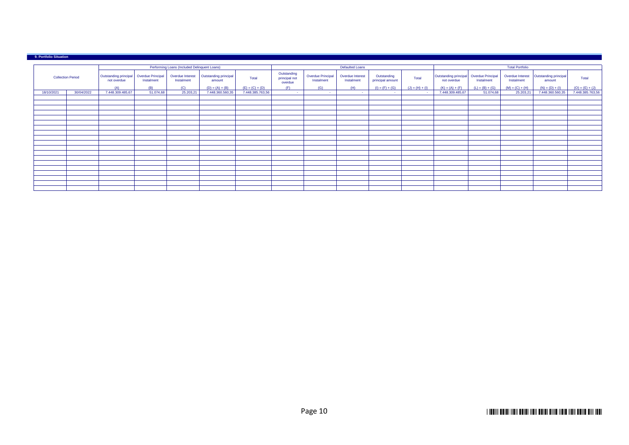#### Outstanding principal not overdue Overdue Principal Instalment Overdue Interest Instalment Outstanding principal Total **Outstanding** principal not overdue Overdue Principal Instalment Overdue Interest Instalment Outstanding<br>principal amount principal amount Total Outstanding principal not overdue Overdue Principal Instalment Overdue Interest Instalment Outstanding principal Total<br>
amount (A) | (B) | (C) | (D) = (A) + (B) | (D) = (A) + (B) | (E) = (C) + (D) | (F) | (G) | (H) | (H) = (C) + (D) | (B) + (D) = (C) + (D) | (B) + (D) = (C) + (D) | (F) + (D) | (F) | (G) = (C) + (D) | (F) | (C) = (C) + (D) | (F) | 18/10/2021 30/04/2022 7.448.360.485,67 51.074,68 25.203,21 7.448.360.560,35 7.448.360.560,35 7.49.360.560,35 7.448.360.560,35 7.448.360.560,35 7.448.360.560,35 7.448.360.560,35 7.448.360.560,35 7.448.360.560,35 7.448.385. **9. Portfolio Situation** Collection Period Performing Loans (Included Delinquent Loans) **Defaulted Loans** Defaulted Loans **Defaulted Loans** Total Portfolio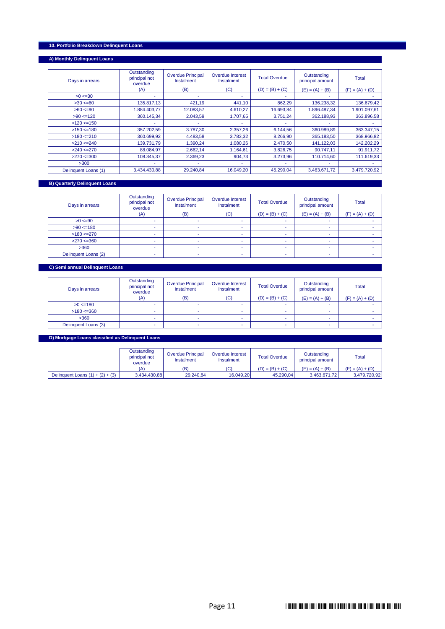# **10. Portfolio Breakdown Delinquent Loans**

# **A) Monthly Delinquent Loans**

| Days in arrears      | Outstanding<br>principal not<br>overdue | <b>Overdue Principal</b><br><b>Instalment</b> | <b>Overdue Interest</b><br>Instalment | <b>Total Overdue</b> | Outstanding<br>principal amount | <b>Total</b>      |
|----------------------|-----------------------------------------|-----------------------------------------------|---------------------------------------|----------------------|---------------------------------|-------------------|
|                      | (A)                                     | (B)                                           | (C)                                   | $(D) = (B) + (C)$    | $(E) = (A) + (B)$               | $(F) = (A) + (D)$ |
| $>0 < = 30$          | ٠                                       | ۰                                             |                                       |                      |                                 |                   |
| >30 < 60             | 135.817,13                              | 421,19                                        | 441,10                                | 862,29               | 136.238,32                      | 136.679,42        |
| $>60 \le 90$         | 1.884.403.77                            | 12.083.57                                     | 4.610.27                              | 16.693.84            | 1.896.487.34                    | 1.901.097,61      |
| >90 < 120            | 360.145.34                              | 2.043,59                                      | 1.707,65                              | 3.751,24             | 362.188,93                      | 363.896,58        |
| $>120$ <=150         |                                         |                                               |                                       |                      |                                 |                   |
| $>150$ <=180         | 357.202,59                              | 3.787,30                                      | 2.357,26                              | 6.144,56             | 360.989,89                      | 363.347,15        |
| >180 < 210           | 360.699,92                              | 4.483,58                                      | 3.783,32                              | 8.266,90             | 365.183,50                      | 368.966,82        |
| >210 < 240           | 139.731,79                              | 1.390,24                                      | 1.080,26                              | 2.470,50             | 141.122,03                      | 142.202.29        |
| >240 < 270           | 88.084.97                               | 2.662,14                                      | 1.164,61                              | 3.826,75             | 90.747.11                       | 91.911,72         |
| >270 < 300           | 108.345.37                              | 2.369.23                                      | 904.73                                | 3.273.96             | 110.714.60                      | 111.619.33        |
| >300                 | ۰                                       |                                               |                                       |                      |                                 |                   |
| Delinquent Loans (1) | 3.434.430.88                            | 29.240.84                                     | 16.049,20                             | 45.290.04            | 3.463.671,72                    | 3.479.720,92      |

# **B) Quarterly Delinquent Loans**

 $\overline{\phantom{a}}$ 

| Days in arrears      | Outstanding<br>principal not<br>overdue<br>(A) | <b>Overdue Principal</b><br>Instalment<br>(B) | Overdue Interest<br>Instalment<br>(C) | <b>Total Overdue</b><br>$(D) = (B) + (C)$ | Outstanding<br>principal amount<br>$(E) = (A) + (B)$ | <b>Total</b><br>$(F) = (A) + (D)$ |
|----------------------|------------------------------------------------|-----------------------------------------------|---------------------------------------|-------------------------------------------|------------------------------------------------------|-----------------------------------|
| $>0 < = 90$          |                                                |                                               |                                       |                                           |                                                      |                                   |
| >90 < 180            |                                                |                                               |                                       | $\sim$                                    |                                                      |                                   |
| >180 < 270           | ۰                                              |                                               |                                       | $\sim$                                    |                                                      |                                   |
| >270 < 360           |                                                |                                               |                                       | $\overline{\phantom{a}}$                  |                                                      |                                   |
| >360                 |                                                |                                               |                                       |                                           |                                                      |                                   |
| Delinquent Loans (2) |                                                |                                               |                                       |                                           |                                                      |                                   |

# **C) Semi annual Delinquent Loans**

| Days in arrears      | Outstanding<br>principal not<br>overdue | <b>Overdue Principal</b><br>Instalment | Overdue Interest<br>Instalment | <b>Total Overdue</b> | Outstanding<br>principal amount | <b>Total</b>      |
|----------------------|-----------------------------------------|----------------------------------------|--------------------------------|----------------------|---------------------------------|-------------------|
|                      | (A)                                     | (B)                                    | (C)                            | $(D) = (B) + (C)$    | $(E) = (A) + (B)$               | $(F) = (A) + (D)$ |
| >0 < 180             |                                         |                                        |                                |                      |                                 |                   |
| >180 < 360           |                                         |                                        |                                | ۰                    |                                 |                   |
| >360                 |                                         |                                        |                                |                      |                                 |                   |
| Delinquent Loans (3) |                                         |                                        |                                | ۰                    |                                 |                   |

#### **D) Mortgage Loans classified as Delinquent Loans**

|                                    | Outstanding<br>principal not<br>overdue | <b>Overdue Principal</b><br>Instalment | Overdue Interest<br>Instalment | <b>Total Overdue</b> | Outstanding<br>principal amount | Total             |
|------------------------------------|-----------------------------------------|----------------------------------------|--------------------------------|----------------------|---------------------------------|-------------------|
|                                    | (A)                                     | (B)                                    | (C)                            | $(D) = (B) + (C)$    | $(E) = (A) + (B)$               | $(F) = (A) + (D)$ |
| Delinquent Loans $(1) + (2) + (3)$ | 3.434.430.88                            | 29.240.84                              | 16.049.20                      | 45.290.04            | 3.463.671.72                    | 3.479.720.92      |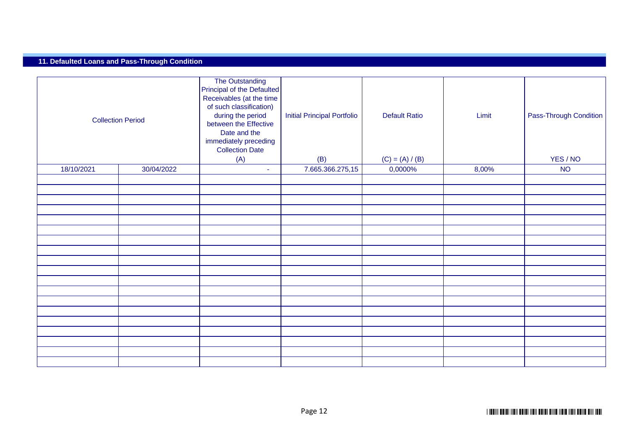# **11. Defaulted Loans and Pass-Through Condition**

| <b>Collection Period</b> |  | The Outstanding<br>Principal of the Defaulted<br>Receivables (at the time<br>of such classification)<br>during the period<br>between the Effective<br>Date and the<br>immediately preceding<br><b>Collection Date</b><br>(A) | <b>Initial Principal Portfolio</b><br>(B) | <b>Default Ratio</b><br>$(C) = (A) / (B)$ | Limit | Pass-Through Condition<br>YES / NO |
|--------------------------|--|------------------------------------------------------------------------------------------------------------------------------------------------------------------------------------------------------------------------------|-------------------------------------------|-------------------------------------------|-------|------------------------------------|
| 30/04/2022<br>18/10/2021 |  | $\sim$                                                                                                                                                                                                                       | 7.665.366.275,15                          | 0,0000%                                   | 8,00% | <b>NO</b>                          |
|                          |  |                                                                                                                                                                                                                              |                                           |                                           |       |                                    |
|                          |  |                                                                                                                                                                                                                              |                                           |                                           |       |                                    |
|                          |  |                                                                                                                                                                                                                              |                                           |                                           |       |                                    |
|                          |  |                                                                                                                                                                                                                              |                                           |                                           |       |                                    |
|                          |  |                                                                                                                                                                                                                              |                                           |                                           |       |                                    |
|                          |  |                                                                                                                                                                                                                              |                                           |                                           |       |                                    |
|                          |  |                                                                                                                                                                                                                              |                                           |                                           |       |                                    |
|                          |  |                                                                                                                                                                                                                              |                                           |                                           |       |                                    |
|                          |  |                                                                                                                                                                                                                              |                                           |                                           |       |                                    |
|                          |  |                                                                                                                                                                                                                              |                                           |                                           |       |                                    |
|                          |  |                                                                                                                                                                                                                              |                                           |                                           |       |                                    |
|                          |  |                                                                                                                                                                                                                              |                                           |                                           |       |                                    |
|                          |  |                                                                                                                                                                                                                              |                                           |                                           |       |                                    |
|                          |  |                                                                                                                                                                                                                              |                                           |                                           |       |                                    |
|                          |  |                                                                                                                                                                                                                              |                                           |                                           |       |                                    |
|                          |  |                                                                                                                                                                                                                              |                                           |                                           |       |                                    |
|                          |  |                                                                                                                                                                                                                              |                                           |                                           |       |                                    |
|                          |  |                                                                                                                                                                                                                              |                                           |                                           |       |                                    |
|                          |  |                                                                                                                                                                                                                              |                                           |                                           |       |                                    |
|                          |  |                                                                                                                                                                                                                              |                                           |                                           |       |                                    |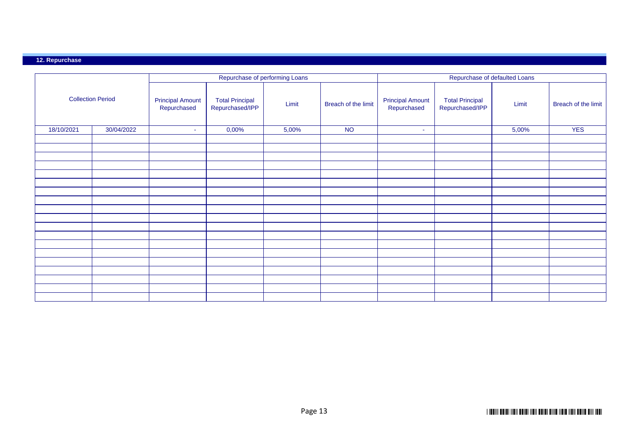# **12. Repurchase**

|                          |            |                                        |                                           | Repurchase of performing Loans |                     | Repurchase of defaulted Loans          |                                           |       |                     |  |
|--------------------------|------------|----------------------------------------|-------------------------------------------|--------------------------------|---------------------|----------------------------------------|-------------------------------------------|-------|---------------------|--|
| <b>Collection Period</b> |            | <b>Principal Amount</b><br>Repurchased | <b>Total Principal</b><br>Repurchased/IPP | Limit                          | Breach of the limit | <b>Principal Amount</b><br>Repurchased | <b>Total Principal</b><br>Repurchased/IPP | Limit | Breach of the limit |  |
| 18/10/2021               | 30/04/2022 | $\sim$                                 | 0,00%                                     | 5,00%                          | <b>NO</b>           | $\sim$                                 |                                           | 5,00% | <b>YES</b>          |  |
|                          |            |                                        |                                           |                                |                     |                                        |                                           |       |                     |  |
|                          |            |                                        |                                           |                                |                     |                                        |                                           |       |                     |  |
|                          |            |                                        |                                           |                                |                     |                                        |                                           |       |                     |  |
|                          |            |                                        |                                           |                                |                     |                                        |                                           |       |                     |  |
|                          |            |                                        |                                           |                                |                     |                                        |                                           |       |                     |  |
|                          |            |                                        |                                           |                                |                     |                                        |                                           |       |                     |  |
|                          |            |                                        |                                           |                                |                     |                                        |                                           |       |                     |  |
|                          |            |                                        |                                           |                                |                     |                                        |                                           |       |                     |  |
|                          |            |                                        |                                           |                                |                     |                                        |                                           |       |                     |  |
|                          |            |                                        |                                           |                                |                     |                                        |                                           |       |                     |  |
|                          |            |                                        |                                           |                                |                     |                                        |                                           |       |                     |  |
|                          |            |                                        |                                           |                                |                     |                                        |                                           |       |                     |  |
|                          |            |                                        |                                           |                                |                     |                                        |                                           |       |                     |  |
|                          |            |                                        |                                           |                                |                     |                                        |                                           |       |                     |  |
|                          |            |                                        |                                           |                                |                     |                                        |                                           |       |                     |  |
|                          |            |                                        |                                           |                                |                     |                                        |                                           |       |                     |  |
|                          |            |                                        |                                           |                                |                     |                                        |                                           |       |                     |  |